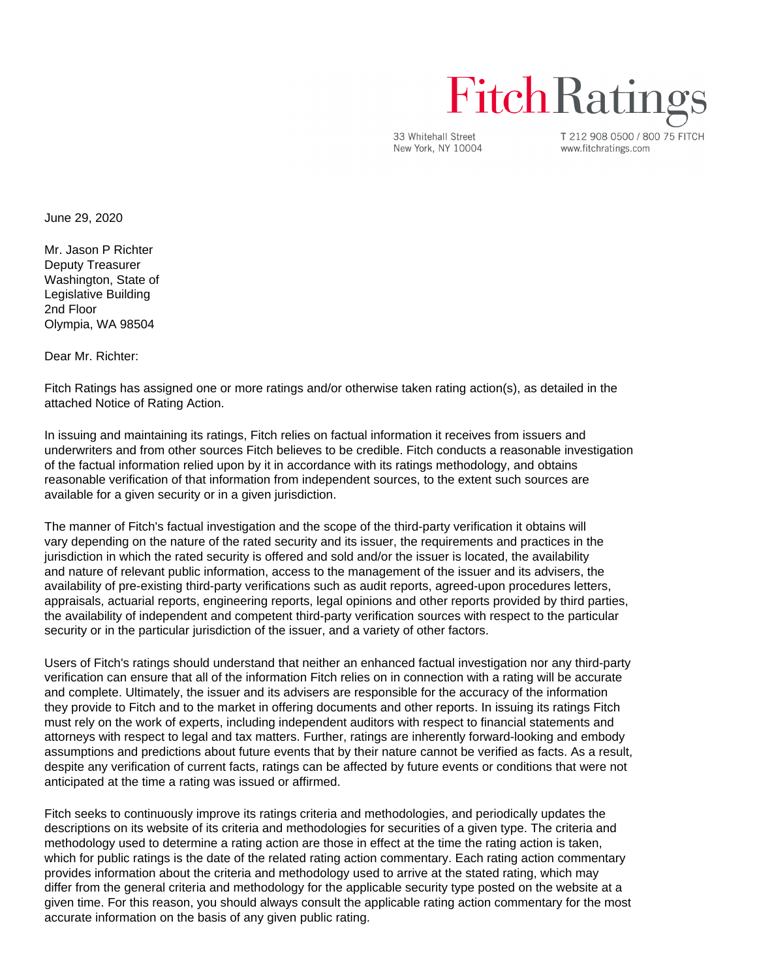## **Fitch Ratings**

33 Whitehall Street New York, NY 10004 T 212 908 0500 / 800 75 FITCH www.fitchratings.com

June 29, 2020

Mr. Jason P Richter Deputy Treasurer Washington, State of Legislative Building 2nd Floor Olympia, WA 98504

Dear Mr. Richter:

Fitch Ratings has assigned one or more ratings and/or otherwise taken rating action(s), as detailed in the attached Notice of Rating Action.

In issuing and maintaining its ratings, Fitch relies on factual information it receives from issuers and underwriters and from other sources Fitch believes to be credible. Fitch conducts a reasonable investigation of the factual information relied upon by it in accordance with its ratings methodology, and obtains reasonable verification of that information from independent sources, to the extent such sources are available for a given security or in a given jurisdiction.

The manner of Fitch's factual investigation and the scope of the third-party verification it obtains will vary depending on the nature of the rated security and its issuer, the requirements and practices in the jurisdiction in which the rated security is offered and sold and/or the issuer is located, the availability and nature of relevant public information, access to the management of the issuer and its advisers, the availability of pre-existing third-party verifications such as audit reports, agreed-upon procedures letters, appraisals, actuarial reports, engineering reports, legal opinions and other reports provided by third parties, the availability of independent and competent third-party verification sources with respect to the particular security or in the particular jurisdiction of the issuer, and a variety of other factors.

Users of Fitch's ratings should understand that neither an enhanced factual investigation nor any third-party verification can ensure that all of the information Fitch relies on in connection with a rating will be accurate and complete. Ultimately, the issuer and its advisers are responsible for the accuracy of the information they provide to Fitch and to the market in offering documents and other reports. In issuing its ratings Fitch must rely on the work of experts, including independent auditors with respect to financial statements and attorneys with respect to legal and tax matters. Further, ratings are inherently forward-looking and embody assumptions and predictions about future events that by their nature cannot be verified as facts. As a result, despite any verification of current facts, ratings can be affected by future events or conditions that were not anticipated at the time a rating was issued or affirmed.

Fitch seeks to continuously improve its ratings criteria and methodologies, and periodically updates the descriptions on its website of its criteria and methodologies for securities of a given type. The criteria and methodology used to determine a rating action are those in effect at the time the rating action is taken, which for public ratings is the date of the related rating action commentary. Each rating action commentary provides information about the criteria and methodology used to arrive at the stated rating, which may differ from the general criteria and methodology for the applicable security type posted on the website at a given time. For this reason, you should always consult the applicable rating action commentary for the most accurate information on the basis of any given public rating.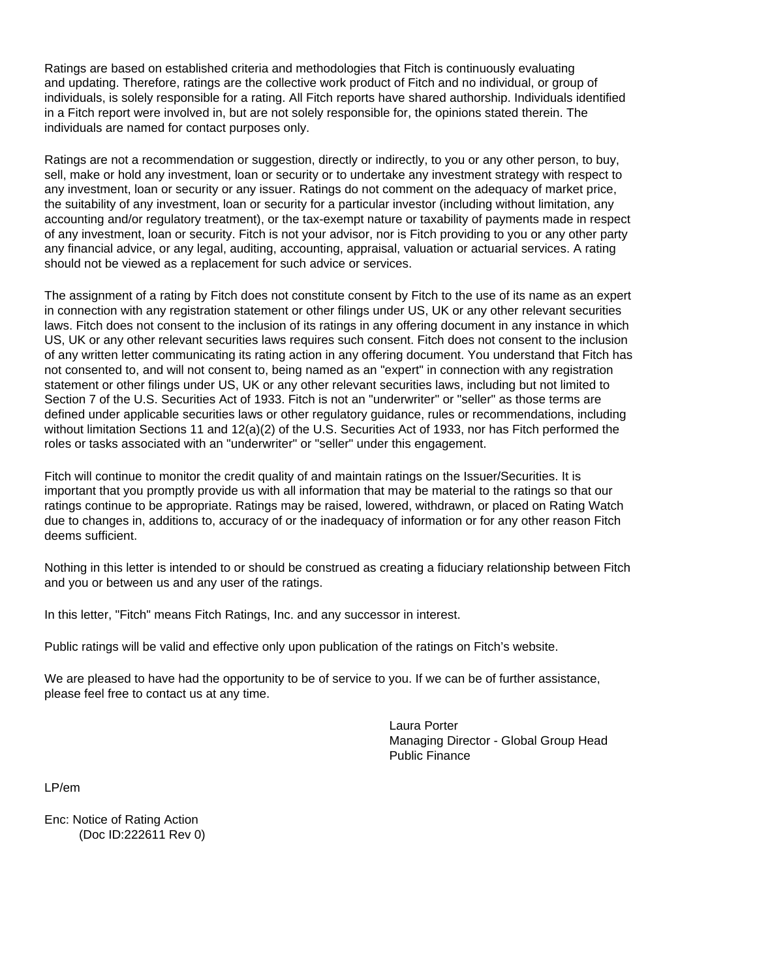Ratings are based on established criteria and methodologies that Fitch is continuously evaluating and updating. Therefore, ratings are the collective work product of Fitch and no individual, or group of individuals, is solely responsible for a rating. All Fitch reports have shared authorship. Individuals identified in a Fitch report were involved in, but are not solely responsible for, the opinions stated therein. The individuals are named for contact purposes only.

Ratings are not a recommendation or suggestion, directly or indirectly, to you or any other person, to buy, sell, make or hold any investment, loan or security or to undertake any investment strategy with respect to any investment, loan or security or any issuer. Ratings do not comment on the adequacy of market price, the suitability of any investment, loan or security for a particular investor (including without limitation, any accounting and/or regulatory treatment), or the tax-exempt nature or taxability of payments made in respect of any investment, loan or security. Fitch is not your advisor, nor is Fitch providing to you or any other party any financial advice, or any legal, auditing, accounting, appraisal, valuation or actuarial services. A rating should not be viewed as a replacement for such advice or services.

The assignment of a rating by Fitch does not constitute consent by Fitch to the use of its name as an expert in connection with any registration statement or other filings under US, UK or any other relevant securities laws. Fitch does not consent to the inclusion of its ratings in any offering document in any instance in which US, UK or any other relevant securities laws requires such consent. Fitch does not consent to the inclusion of any written letter communicating its rating action in any offering document. You understand that Fitch has not consented to, and will not consent to, being named as an "expert" in connection with any registration statement or other filings under US, UK or any other relevant securities laws, including but not limited to Section 7 of the U.S. Securities Act of 1933. Fitch is not an "underwriter" or "seller" as those terms are defined under applicable securities laws or other regulatory guidance, rules or recommendations, including without limitation Sections 11 and 12(a)(2) of the U.S. Securities Act of 1933, nor has Fitch performed the roles or tasks associated with an "underwriter" or "seller" under this engagement.

Fitch will continue to monitor the credit quality of and maintain ratings on the Issuer/Securities. It is important that you promptly provide us with all information that may be material to the ratings so that our ratings continue to be appropriate. Ratings may be raised, lowered, withdrawn, or placed on Rating Watch due to changes in, additions to, accuracy of or the inadequacy of information or for any other reason Fitch deems sufficient.

Nothing in this letter is intended to or should be construed as creating a fiduciary relationship between Fitch and you or between us and any user of the ratings.

In this letter, "Fitch" means Fitch Ratings, Inc. and any successor in interest.

Public ratings will be valid and effective only upon publication of the ratings on Fitch's website.

We are pleased to have had the opportunity to be of service to you. If we can be of further assistance, please feel free to contact us at any time.

> Laura Porter Managing Director - Global Group Head Public Finance

LP/em

Enc: Notice of Rating Action (Doc ID:222611 Rev 0)